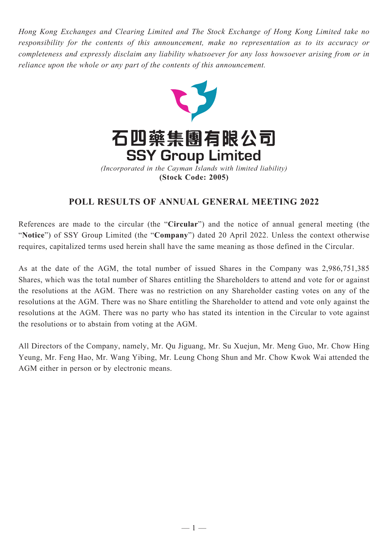*Hong Kong Exchanges and Clearing Limited and The Stock Exchange of Hong Kong Limited take no responsibility for the contents of this announcement, make no representation as to its accuracy or completeness and expressly disclaim any liability whatsoever for any loss howsoever arising from or in reliance upon the whole or any part of the contents of this announcement.*



## **POLL RESULTS OF ANNUAL GENERAL MEETING 2022**

References are made to the circular (the "**Circular**") and the notice of annual general meeting (the "**Notice**") of SSY Group Limited (the "**Company**") dated 20 April 2022. Unless the context otherwise requires, capitalized terms used herein shall have the same meaning as those defined in the Circular.

As at the date of the AGM, the total number of issued Shares in the Company was 2,986,751,385 Shares, which was the total number of Shares entitling the Shareholders to attend and vote for or against the resolutions at the AGM. There was no restriction on any Shareholder casting votes on any of the resolutions at the AGM. There was no Share entitling the Shareholder to attend and vote only against the resolutions at the AGM. There was no party who has stated its intention in the Circular to vote against the resolutions or to abstain from voting at the AGM.

All Directors of the Company, namely, Mr. Qu Jiguang, Mr. Su Xuejun, Mr. Meng Guo, Mr. Chow Hing Yeung, Mr. Feng Hao, Mr. Wang Yibing, Mr. Leung Chong Shun and Mr. Chow Kwok Wai attended the AGM either in person or by electronic means.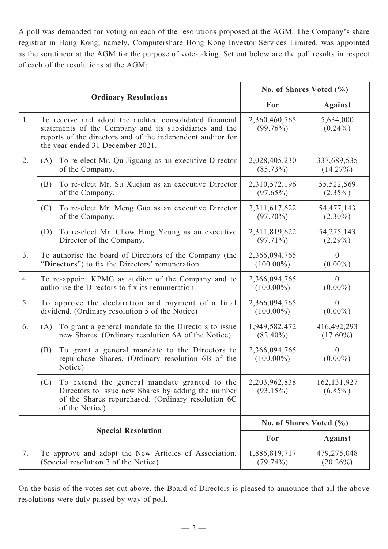A poll was demanded for voting on each of the resolutions proposed at the AGM. The Company's share registrar in Hong Kong, namely, Computershare Hong Kong Investor Services Limited, was appointed as the scrutineer at the AGM for the purpose of vote-taking. Set out below are the poll results in respect of each of the resolutions at the AGM:

|                           |                                                                                                                                                                                                                      | No. of Shares Voted (%)       |                              |
|---------------------------|----------------------------------------------------------------------------------------------------------------------------------------------------------------------------------------------------------------------|-------------------------------|------------------------------|
|                           | <b>Ordinary Resolutions</b>                                                                                                                                                                                          | For                           | <b>Against</b>               |
| 1.                        | To receive and adopt the audited consolidated financial<br>statements of the Company and its subsidiaries and the<br>reports of the directors and of the independent auditor for<br>the year ended 31 December 2021. | 2,360,460,765<br>$(99.76\%)$  | 5,634,000<br>$(0.24\%)$      |
| 2.                        | To re-elect Mr. Qu Jiguang as an executive Director<br>(A)<br>of the Company.                                                                                                                                        | 2,028,405,230<br>$(85.73\%)$  | 337,689,535<br>(14.27%)      |
|                           | To re-elect Mr. Su Xuejun as an executive Director<br>(B)<br>of the Company.                                                                                                                                         | 2,310,572,196<br>(97.65%)     | 55,522,569<br>$(2.35\%)$     |
|                           | To re-elect Mr. Meng Guo as an executive Director<br>(C)<br>of the Company.                                                                                                                                          | 2,311,617,622<br>$(97.70\%)$  | 54, 477, 143<br>$(2.30\%)$   |
|                           | (D)<br>To re-elect Mr. Chow Hing Yeung as an executive<br>Director of the Company.                                                                                                                                   | 2,311,819,622<br>$(97.71\%)$  | 54, 275, 143<br>$(2.29\%)$   |
| 3.                        | To authorise the board of Directors of the Company (the<br>"Directors") to fix the Directors' remuneration.                                                                                                          | 2,366,094,765<br>$(100.00\%)$ | $\overline{0}$<br>$(0.00\%)$ |
| 4.                        | To re-appoint KPMG as auditor of the Company and to<br>authorise the Directors to fix its remuneration.                                                                                                              | 2,366,094,765<br>$(100.00\%)$ | $\overline{0}$<br>$(0.00\%)$ |
| 5.                        | To approve the declaration and payment of a final<br>dividend. (Ordinary resolution 5 of the Notice)                                                                                                                 | 2,366,094,765<br>$(100.00\%)$ | $\overline{0}$<br>$(0.00\%)$ |
| 6.                        | To grant a general mandate to the Directors to issue<br>(A)<br>new Shares. (Ordinary resolution 6A of the Notice)                                                                                                    | 1,949,582,472<br>$(82.40\%)$  | 416,492,293<br>$(17.60\%)$   |
|                           | To grant a general mandate to the Directors to<br>(B)<br>repurchase Shares. (Ordinary resolution 6B of the<br>Notice)                                                                                                | 2,366,094,765<br>$(100.00\%)$ | $\overline{0}$<br>$(0.00\%)$ |
|                           | (C)<br>To extend the general mandate granted to the<br>Directors to issue new Shares by adding the number<br>of the Shares repurchased. (Ordinary resolution 6C<br>of the Notice)                                    | 2,203,962,838<br>(93.15%)     | 162, 131, 927<br>$(6.85\%)$  |
|                           |                                                                                                                                                                                                                      | No. of Shares Voted (%)       |                              |
| <b>Special Resolution</b> |                                                                                                                                                                                                                      | For                           | <b>Against</b>               |
| 7.                        | To approve and adopt the New Articles of Association.<br>(Special resolution 7 of the Notice)                                                                                                                        | 1,886,819,717<br>$(79.74\%)$  | 479,275,048<br>$(20.26\%)$   |

On the basis of the votes set out above, the Board of Directors is pleased to announce that all the above resolutions were duly passed by way of poll.